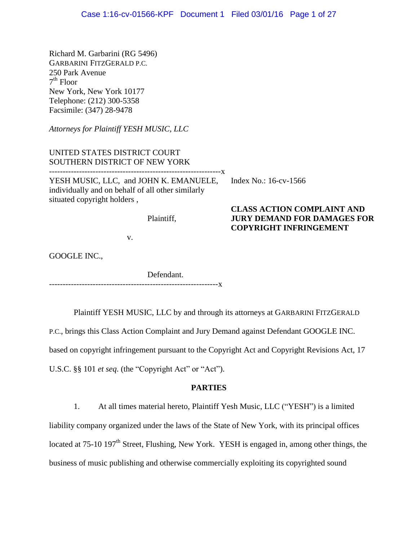Richard M. Garbarini (RG 5496) GARBARINI FITZGERALD P.C. 250 Park Avenue 7 th Floor New York, New York 10177 Telephone: (212) 300-5358 Facsimile: (347) 28-9478

*Attorneys for Plaintiff YESH MUSIC, LLC*

UNITED STATES DISTRICT COURT SOUTHERN DISTRICT OF NEW YORK ---------------------------------------------------------------x YESH MUSIC, LLC, and JOHN K. EMANUELE, individually and on behalf of all other similarly situated copyright holders ,

Index No.: 16-cv-1566

**CLASS ACTION COMPLAINT AND JURY DEMAND FOR DAMAGES FOR** 

**COPYRIGHT INFRINGEMENT**

## Plaintiff,

v.

GOOGLE INC.,

Defendant. --------------------------------------------------------------x

Plaintiff YESH MUSIC, LLC by and through its attorneys at GARBARINI FITZGERALD

P.C., brings this Class Action Complaint and Jury Demand against Defendant GOOGLE INC.

based on copyright infringement pursuant to the Copyright Act and Copyright Revisions Act, 17

U.S.C. §§ 101 *et seq*. (the "Copyright Act" or "Act").

# **PARTIES**

1. At all times material hereto, Plaintiff Yesh Music, LLC ("YESH") is a limited

liability company organized under the laws of the State of New York, with its principal offices

located at 75-10 197<sup>th</sup> Street, Flushing, New York. YESH is engaged in, among other things, the

business of music publishing and otherwise commercially exploiting its copyrighted sound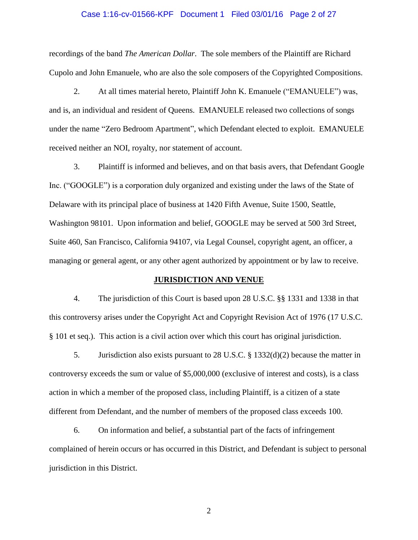# Case 1:16-cv-01566-KPF Document 1 Filed 03/01/16 Page 2 of 27

recordings of the band *The American Dollar*. The sole members of the Plaintiff are Richard Cupolo and John Emanuele, who are also the sole composers of the Copyrighted Compositions.

2. At all times material hereto, Plaintiff John K. Emanuele ("EMANUELE") was, and is, an individual and resident of Queens. EMANUELE released two collections of songs under the name "Zero Bedroom Apartment", which Defendant elected to exploit. EMANUELE received neither an NOI, royalty, nor statement of account.

3. Plaintiff is informed and believes, and on that basis avers, that Defendant Google Inc. ("GOOGLE") is a corporation duly organized and existing under the laws of the State of Delaware with its principal place of business at 1420 Fifth Avenue, Suite 1500, Seattle, Washington 98101. Upon information and belief, GOOGLE may be served at 500 3rd Street, Suite 460, San Francisco, California 94107, via Legal Counsel, copyright agent, an officer, a managing or general agent, or any other agent authorized by appointment or by law to receive.

#### **JURISDICTION AND VENUE**

4. The jurisdiction of this Court is based upon 28 U.S.C. §§ 1331 and 1338 in that this controversy arises under the Copyright Act and Copyright Revision Act of 1976 (17 U.S.C. § 101 et seq.). This action is a civil action over which this court has original jurisdiction.

5. Jurisdiction also exists pursuant to 28 U.S.C. § 1332(d)(2) because the matter in controversy exceeds the sum or value of \$5,000,000 (exclusive of interest and costs), is a class action in which a member of the proposed class, including Plaintiff, is a citizen of a state different from Defendant, and the number of members of the proposed class exceeds 100.

6. On information and belief, a substantial part of the facts of infringement complained of herein occurs or has occurred in this District, and Defendant is subject to personal jurisdiction in this District.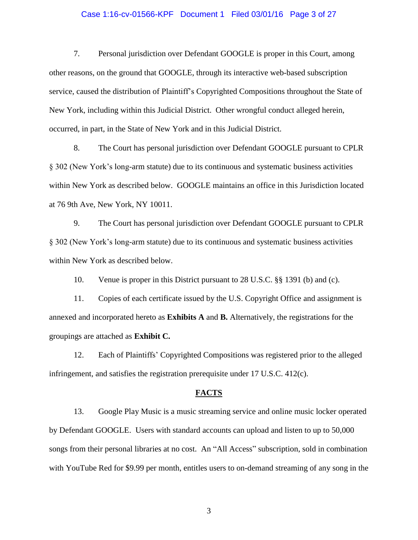## Case 1:16-cv-01566-KPF Document 1 Filed 03/01/16 Page 3 of 27

7. Personal jurisdiction over Defendant GOOGLE is proper in this Court, among other reasons, on the ground that GOOGLE, through its interactive web-based subscription service, caused the distribution of Plaintiff's Copyrighted Compositions throughout the State of New York, including within this Judicial District. Other wrongful conduct alleged herein, occurred, in part, in the State of New York and in this Judicial District.

8. The Court has personal jurisdiction over Defendant GOOGLE pursuant to CPLR § 302 (New York's long-arm statute) due to its continuous and systematic business activities within New York as described below. GOOGLE maintains an office in this Jurisdiction located at 76 9th Ave, New York, NY 10011.

9. The Court has personal jurisdiction over Defendant GOOGLE pursuant to CPLR § 302 (New York's long-arm statute) due to its continuous and systematic business activities within New York as described below.

10. Venue is proper in this District pursuant to 28 U.S.C. §§ 1391 (b) and (c).

11. Copies of each certificate issued by the U.S. Copyright Office and assignment is annexed and incorporated hereto as **Exhibits A** and **B.** Alternatively, the registrations for the groupings are attached as **Exhibit C.**

12. Each of Plaintiffs' Copyrighted Compositions was registered prior to the alleged infringement, and satisfies the registration prerequisite under 17 U.S.C. 412(c).

#### **FACTS**

13. Google Play Music is a music streaming service and online music locker operated by Defendant GOOGLE. Users with standard accounts can upload and listen to up to 50,000 songs from their personal libraries at no cost. An "All Access" subscription, sold in combination with YouTube Red for \$9.99 per month, entitles users to on-demand streaming of any song in the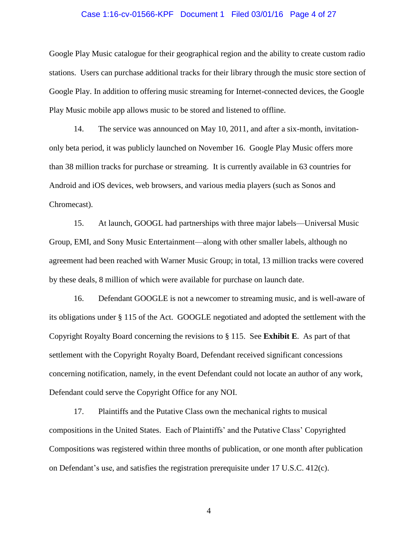# Case 1:16-cv-01566-KPF Document 1 Filed 03/01/16 Page 4 of 27

Google Play Music catalogue for their geographical region and the ability to create custom radio stations. Users can purchase additional tracks for their library through the music store section of Google Play. In addition to offering music streaming for Internet-connected devices, the Google Play Music mobile app allows music to be stored and listened to offline.

14. The service was announced on May 10, 2011, and after a six-month, invitationonly beta period, it was publicly launched on November 16. Google Play Music offers more than 38 million tracks for purchase or streaming. It is currently available in 63 countries for Android and iOS devices, web browsers, and various media players (such as Sonos and Chromecast).

15. At launch, GOOGL had partnerships with three major labels—Universal Music Group, EMI, and Sony Music Entertainment—along with other smaller labels, although no agreement had been reached with Warner Music Group; in total, 13 million tracks were covered by these deals, 8 million of which were available for purchase on launch date.

16. Defendant GOOGLE is not a newcomer to streaming music, and is well-aware of its obligations under § 115 of the Act. GOOGLE negotiated and adopted the settlement with the Copyright Royalty Board concerning the revisions to § 115. See **Exhibit E**. As part of that settlement with the Copyright Royalty Board, Defendant received significant concessions concerning notification, namely, in the event Defendant could not locate an author of any work, Defendant could serve the Copyright Office for any NOI.

17. Plaintiffs and the Putative Class own the mechanical rights to musical compositions in the United States. Each of Plaintiffs' and the Putative Class' Copyrighted Compositions was registered within three months of publication, or one month after publication on Defendant's use, and satisfies the registration prerequisite under 17 U.S.C. 412(c).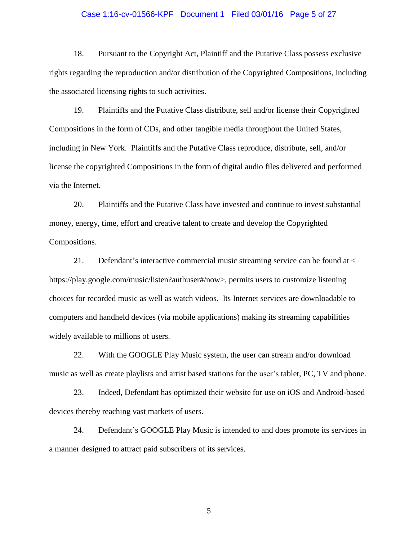## Case 1:16-cv-01566-KPF Document 1 Filed 03/01/16 Page 5 of 27

18. Pursuant to the Copyright Act, Plaintiff and the Putative Class possess exclusive rights regarding the reproduction and/or distribution of the Copyrighted Compositions, including the associated licensing rights to such activities.

19. Plaintiffs and the Putative Class distribute, sell and/or license their Copyrighted Compositions in the form of CDs, and other tangible media throughout the United States, including in New York. Plaintiffs and the Putative Class reproduce, distribute, sell, and/or license the copyrighted Compositions in the form of digital audio files delivered and performed via the Internet.

20. Plaintiffs and the Putative Class have invested and continue to invest substantial money, energy, time, effort and creative talent to create and develop the Copyrighted Compositions.

21. Defendant's interactive commercial music streaming service can be found at < https://play.google.com/music/listen?authuser#/now>, permits users to customize listening choices for recorded music as well as watch videos. Its Internet services are downloadable to computers and handheld devices (via mobile applications) making its streaming capabilities widely available to millions of users.

22. With the GOOGLE Play Music system, the user can stream and/or download music as well as create playlists and artist based stations for the user's tablet, PC, TV and phone.

23. Indeed, Defendant has optimized their website for use on iOS and Android-based devices thereby reaching vast markets of users.

24. Defendant's GOOGLE Play Music is intended to and does promote its services in a manner designed to attract paid subscribers of its services.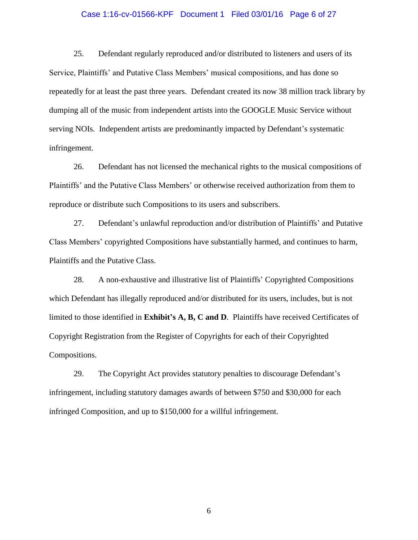## Case 1:16-cv-01566-KPF Document 1 Filed 03/01/16 Page 6 of 27

25. Defendant regularly reproduced and/or distributed to listeners and users of its Service, Plaintiffs' and Putative Class Members' musical compositions, and has done so repeatedly for at least the past three years. Defendant created its now 38 million track library by dumping all of the music from independent artists into the GOOGLE Music Service without serving NOIs. Independent artists are predominantly impacted by Defendant's systematic infringement.

26. Defendant has not licensed the mechanical rights to the musical compositions of Plaintiffs' and the Putative Class Members' or otherwise received authorization from them to reproduce or distribute such Compositions to its users and subscribers.

27. Defendant's unlawful reproduction and/or distribution of Plaintiffs' and Putative Class Members' copyrighted Compositions have substantially harmed, and continues to harm, Plaintiffs and the Putative Class.

28. A non-exhaustive and illustrative list of Plaintiffs' Copyrighted Compositions which Defendant has illegally reproduced and/or distributed for its users, includes, but is not limited to those identified in **Exhibit's A, B, C and D**. Plaintiffs have received Certificates of Copyright Registration from the Register of Copyrights for each of their Copyrighted Compositions.

29. The Copyright Act provides statutory penalties to discourage Defendant's infringement, including statutory damages awards of between \$750 and \$30,000 for each infringed Composition, and up to \$150,000 for a willful infringement.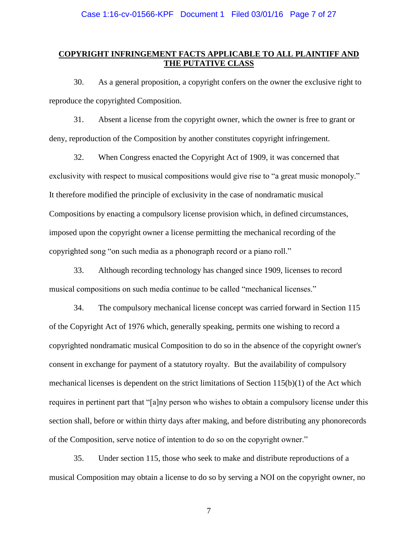## **COPYRIGHT INFRINGEMENT FACTS APPLICABLE TO ALL PLAINTIFF AND THE PUTATIVE CLASS**

30. As a general proposition, a copyright confers on the owner the exclusive right to reproduce the copyrighted Composition.

31. Absent a license from the copyright owner, which the owner is free to grant or deny, reproduction of the Composition by another constitutes copyright infringement.

32. When Congress enacted the Copyright Act of 1909, it was concerned that exclusivity with respect to musical compositions would give rise to "a great music monopoly." It therefore modified the principle of exclusivity in the case of nondramatic musical Compositions by enacting a compulsory license provision which, in defined circumstances, imposed upon the copyright owner a license permitting the mechanical recording of the copyrighted song "on such media as a phonograph record or a piano roll."

33. Although recording technology has changed since 1909, licenses to record musical compositions on such media continue to be called "mechanical licenses."

34. The compulsory mechanical license concept was carried forward in Section 115 of the Copyright Act of 1976 which, generally speaking, permits one wishing to record a copyrighted nondramatic musical Composition to do so in the absence of the copyright owner's consent in exchange for payment of a statutory royalty. But the availability of compulsory mechanical licenses is dependent on the strict limitations of Section 115(b)(1) of the Act which requires in pertinent part that "[a]ny person who wishes to obtain a compulsory license under this section shall, before or within thirty days after making, and before distributing any phonorecords of the Composition, serve notice of intention to do so on the copyright owner."

35. Under section 115, those who seek to make and distribute reproductions of a musical Composition may obtain a license to do so by serving a NOI on the copyright owner, no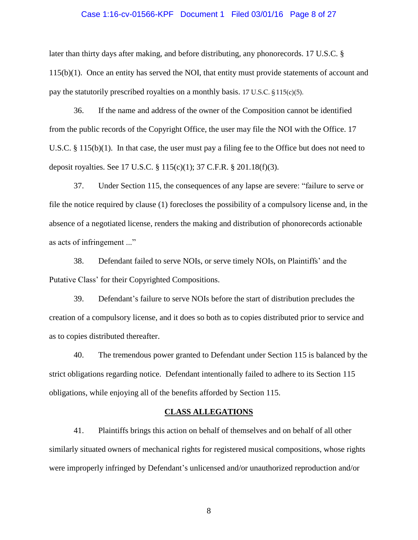## Case 1:16-cv-01566-KPF Document 1 Filed 03/01/16 Page 8 of 27

later than thirty days after making, and before distributing, any phonorecords. 17 U.S.C. § 115(b)(1). Once an entity has served the NOI, that entity must provide statements of account and pay the statutorily prescribed royalties on a monthly basis. 17 U.S.C. § 115(c)(5).

36. If the name and address of the owner of the Composition cannot be identified from the public records of the Copyright Office, the user may file the NOI with the Office. 17 U.S.C. § 115(b)(1). In that case, the user must pay a filing fee to the Office but does not need to deposit royalties. See 17 U.S.C. § 115(c)(1); 37 C.F.R. § 201.18(f)(3).

37. Under Section 115, the consequences of any lapse are severe: "failure to serve or file the notice required by clause (1) forecloses the possibility of a compulsory license and, in the absence of a negotiated license, renders the making and distribution of phonorecords actionable as acts of infringement ..."

38. Defendant failed to serve NOIs, or serve timely NOIs, on Plaintiffs' and the Putative Class' for their Copyrighted Compositions.

39. Defendant's failure to serve NOIs before the start of distribution precludes the creation of a compulsory license, and it does so both as to copies distributed prior to service and as to copies distributed thereafter.

40. The tremendous power granted to Defendant under Section 115 is balanced by the strict obligations regarding notice. Defendant intentionally failed to adhere to its Section 115 obligations, while enjoying all of the benefits afforded by Section 115.

#### **CLASS ALLEGATIONS**

41. Plaintiffs brings this action on behalf of themselves and on behalf of all other similarly situated owners of mechanical rights for registered musical compositions, whose rights were improperly infringed by Defendant's unlicensed and/or unauthorized reproduction and/or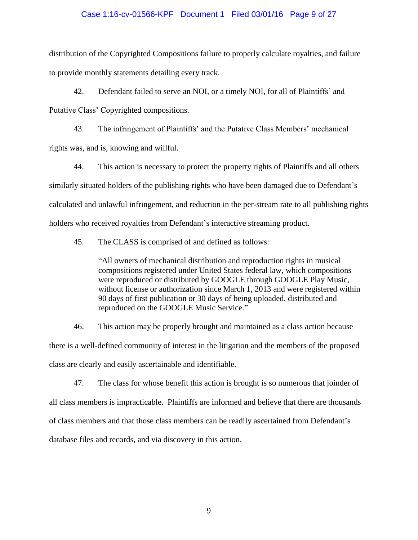## Case 1:16-cv-01566-KPF Document 1 Filed 03/01/16 Page 9 of 27

distribution of the Copyrighted Compositions failure to properly calculate royalties, and failure to provide monthly statements detailing every track.

42. Defendant failed to serve an NOI, or a timely NOI, for all of Plaintiffs' and Putative Class' Copyrighted compositions.

43. The infringement of Plaintiffs' and the Putative Class Members' mechanical rights was, and is, knowing and willful.

44. This action is necessary to protect the property rights of Plaintiffs and all others similarly situated holders of the publishing rights who have been damaged due to Defendant's calculated and unlawful infringement, and reduction in the per-stream rate to all publishing rights holders who received royalties from Defendant's interactive streaming product.

45. The CLASS is comprised of and defined as follows:

"All owners of mechanical distribution and reproduction rights in musical compositions registered under United States federal law, which compositions were reproduced or distributed by GOOGLE through GOOGLE Play Music, without license or authorization since March 1, 2013 and were registered within 90 days of first publication or 30 days of being uploaded, distributed and reproduced on the GOOGLE Music Service."

46. This action may be properly brought and maintained as a class action because there is a well-defined community of interest in the litigation and the members of the proposed class are clearly and easily ascertainable and identifiable.

47. The class for whose benefit this action is brought is so numerous that joinder of all class members is impracticable. Plaintiffs are informed and believe that there are thousands of class members and that those class members can be readily ascertained from Defendant's database files and records, and via discovery in this action.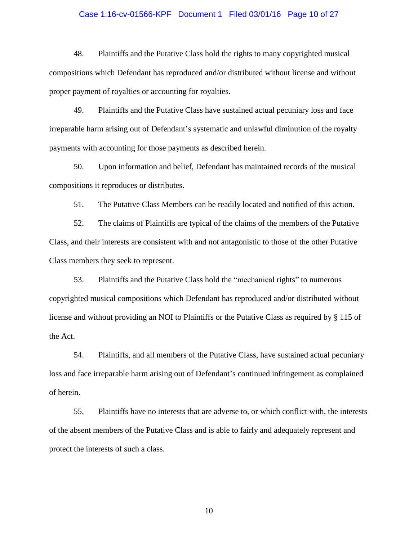## Case 1:16-cv-01566-KPF Document 1 Filed 03/01/16 Page 10 of 27

48. Plaintiffs and the Putative Class hold the rights to many copyrighted musical compositions which Defendant has reproduced and/or distributed without license and without proper payment of royalties or accounting for royalties.

49. Plaintiffs and the Putative Class have sustained actual pecuniary loss and face irreparable harm arising out of Defendant's systematic and unlawful diminution of the royalty payments with accounting for those payments as described herein.

50. Upon information and belief, Defendant has maintained records of the musical compositions it reproduces or distributes.

51. The Putative Class Members can be readily located and notified of this action.

52. The claims of Plaintiffs are typical of the claims of the members of the Putative Class, and their interests are consistent with and not antagonistic to those of the other Putative Class members they seek to represent.

53. Plaintiffs and the Putative Class hold the "mechanical rights" to numerous copyrighted musical compositions which Defendant has reproduced and/or distributed without license and without providing an NOI to Plaintiffs or the Putative Class as required by § 115 of the Act.

54. Plaintiffs, and all members of the Putative Class, have sustained actual pecuniary loss and face irreparable harm arising out of Defendant's continued infringement as complained of herein.

55. Plaintiffs have no interests that are adverse to, or which conflict with, the interests of the absent members of the Putative Class and is able to fairly and adequately represent and protect the interests of such a class.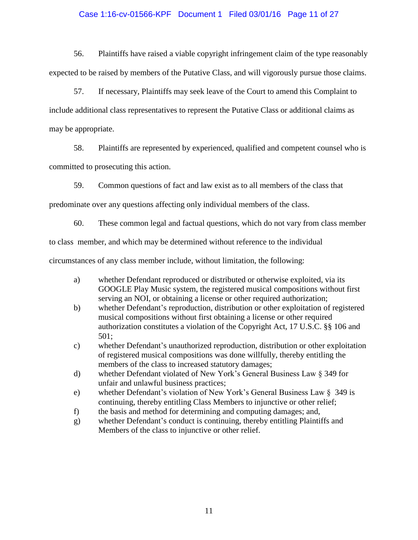# Case 1:16-cv-01566-KPF Document 1 Filed 03/01/16 Page 11 of 27

56. Plaintiffs have raised a viable copyright infringement claim of the type reasonably expected to be raised by members of the Putative Class, and will vigorously pursue those claims.

57. If necessary, Plaintiffs may seek leave of the Court to amend this Complaint to include additional class representatives to represent the Putative Class or additional claims as may be appropriate.

58. Plaintiffs are represented by experienced, qualified and competent counsel who is committed to prosecuting this action.

59. Common questions of fact and law exist as to all members of the class that

predominate over any questions affecting only individual members of the class.

60. These common legal and factual questions, which do not vary from class member

to class member, and which may be determined without reference to the individual

circumstances of any class member include, without limitation, the following:

- a) whether Defendant reproduced or distributed or otherwise exploited, via its GOOGLE Play Music system, the registered musical compositions without first serving an NOI, or obtaining a license or other required authorization;
- b) whether Defendant's reproduction, distribution or other exploitation of registered musical compositions without first obtaining a license or other required authorization constitutes a violation of the Copyright Act, 17 U.S.C. §§ 106 and 501;
- c) whether Defendant's unauthorized reproduction, distribution or other exploitation of registered musical compositions was done willfully, thereby entitling the members of the class to increased statutory damages;
- d) whether Defendant violated of New York's General Business Law § 349 for unfair and unlawful business practices;
- e) whether Defendant's violation of New York's General Business Law § 349 is continuing, thereby entitling Class Members to injunctive or other relief;
- f) the basis and method for determining and computing damages; and,
- g) whether Defendant's conduct is continuing, thereby entitling Plaintiffs and Members of the class to injunctive or other relief.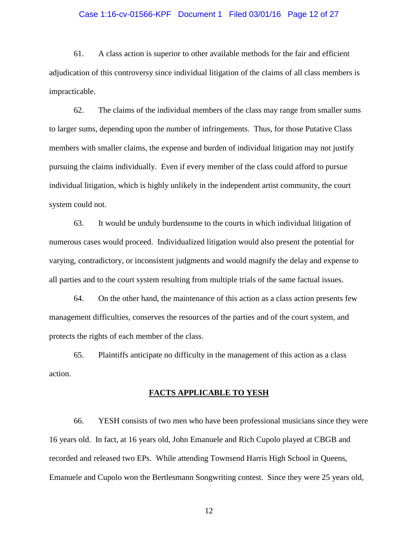## Case 1:16-cv-01566-KPF Document 1 Filed 03/01/16 Page 12 of 27

61. A class action is superior to other available methods for the fair and efficient adjudication of this controversy since individual litigation of the claims of all class members is impracticable.

62. The claims of the individual members of the class may range from smaller sums to larger sums, depending upon the number of infringements. Thus, for those Putative Class members with smaller claims, the expense and burden of individual litigation may not justify pursuing the claims individually. Even if every member of the class could afford to pursue individual litigation, which is highly unlikely in the independent artist community, the court system could not.

63. It would be unduly burdensome to the courts in which individual litigation of numerous cases would proceed. Individualized litigation would also present the potential for varying, contradictory, or inconsistent judgments and would magnify the delay and expense to all parties and to the court system resulting from multiple trials of the same factual issues.

64. On the other hand, the maintenance of this action as a class action presents few management difficulties, conserves the resources of the parties and of the court system, and protects the rights of each member of the class.

65. Plaintiffs anticipate no difficulty in the management of this action as a class action.

#### **FACTS APPLICABLE TO YESH**

66. YESH consists of two men who have been professional musicians since they were 16 years old. In fact, at 16 years old, John Emanuele and Rich Cupolo played at CBGB and recorded and released two EPs. While attending Townsend Harris High School in Queens, Emanuele and Cupolo won the Bertlesmann Songwriting contest. Since they were 25 years old,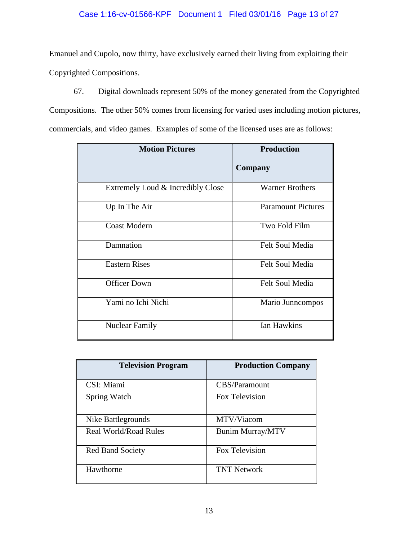# Case 1:16-cv-01566-KPF Document 1 Filed 03/01/16 Page 13 of 27

Emanuel and Cupolo, now thirty, have exclusively earned their living from exploiting their Copyrighted Compositions.

67. Digital downloads represent 50% of the money generated from the Copyrighted

Compositions. The other 50% comes from licensing for varied uses including motion pictures, commercials, and video games. Examples of some of the licensed uses are as follows:

| <b>Motion Pictures</b>            | <b>Production</b>         |
|-----------------------------------|---------------------------|
|                                   | Company                   |
| Extremely Loud & Incredibly Close | <b>Warner Brothers</b>    |
| Up In The Air                     | <b>Paramount Pictures</b> |
| <b>Coast Modern</b>               | Two Fold Film             |
| Damnation                         | <b>Felt Soul Media</b>    |
| <b>Eastern Rises</b>              | <b>Felt Soul Media</b>    |
| <b>Officer Down</b>               | Felt Soul Media           |
| Yami no Ichi Nichi                | Mario Junncompos          |
| <b>Nuclear Family</b>             | <b>Ian Hawkins</b>        |

| <b>Television Program</b>    | <b>Production Company</b> |
|------------------------------|---------------------------|
| CSI: Miami                   | CBS/Paramount             |
| Spring Watch                 | Fox Television            |
| Nike Battlegrounds           | MTV/Viacom                |
| <b>Real World/Road Rules</b> | <b>Bunim Murray/MTV</b>   |
| <b>Red Band Society</b>      | Fox Television            |
| Hawthorne                    | <b>TNT Network</b>        |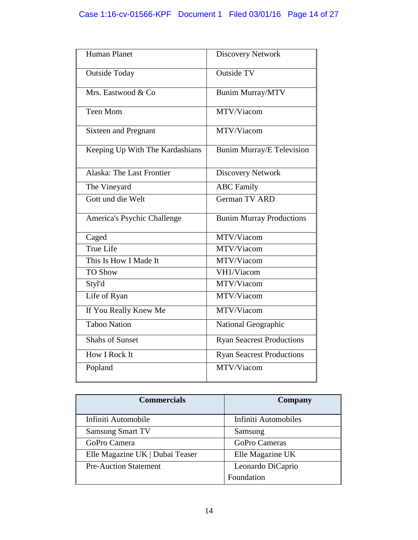# Case 1:16-cv-01566-KPF Document 1 Filed 03/01/16 Page 14 of 27

| Human Planet                     | <b>Discovery Network</b>         |
|----------------------------------|----------------------------------|
| <b>Outside Today</b>             | <b>Outside TV</b>                |
| Mrs. Eastwood & Co               | <b>Bunim Murray/MTV</b>          |
| <b>Teen Mom</b>                  | MTV/Viacom                       |
| <b>Sixteen and Pregnant</b>      | MTV/Viacom                       |
| Keeping Up With The Kardashians  | <b>Bunim Murray/E Television</b> |
| <b>Alaska: The Last Frontier</b> | <b>Discovery Network</b>         |
| The Vineyard                     | <b>ABC</b> Family                |
| Gott und die Welt                | <b>German TV ARD</b>             |
| America's Psychic Challenge      | <b>Bunim Murray Productions</b>  |
| Caged                            | MTV/Viacom                       |
| True Life                        | MTV/Viacom                       |
| This Is How I Made It            | MTV/Viacom                       |
| <b>TO Show</b>                   | VH1/Viacom                       |
| Styl'd                           | MTV/Viacom                       |
| Life of Ryan                     | MTV/Viacom                       |
| If You Really Knew Me            | MTV/Viacom                       |
| <b>Taboo Nation</b>              | National Geographic              |
| <b>Shahs of Sunset</b>           | <b>Ryan Seacrest Productions</b> |
| <b>How I Rock It</b>             | <b>Ryan Seacrest Productions</b> |
| Popland                          | MTV/Viacom                       |

| <b>Commercials</b>              | Company              |
|---------------------------------|----------------------|
| Infiniti Automobile             | Infiniti Automobiles |
| <b>Samsung Smart TV</b>         | Samsung              |
| GoPro Camera                    | <b>GoPro Cameras</b> |
| Elle Magazine UK   Dubai Teaser | Elle Magazine UK     |
| <b>Pre-Auction Statement</b>    | Leonardo DiCaprio    |
|                                 | Foundation           |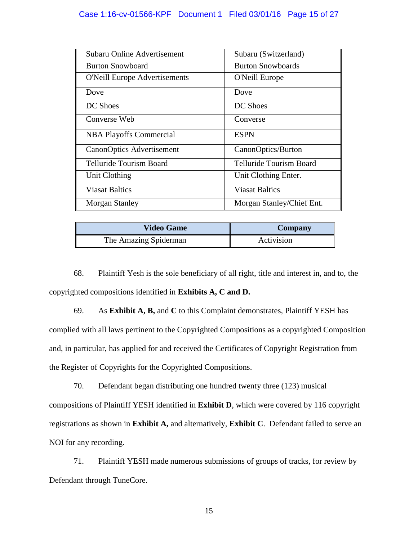# Case 1:16-cv-01566-KPF Document 1 Filed 03/01/16 Page 15 of 27

| Subaru Online Advertisement          | Subaru (Switzerland)      |
|--------------------------------------|---------------------------|
| <b>Burton Snowboard</b>              | <b>Burton Snowboards</b>  |
| <b>O'Neill Europe Advertisements</b> | O'Neill Europe            |
| Dove                                 | Dove                      |
| DC Shoes                             | DC Shoes                  |
| Converse Web                         | Converse                  |
| <b>NBA Playoffs Commercial</b>       | <b>ESPN</b>               |
| <b>CanonOptics Advertisement</b>     | CanonOptics/Burton        |
| Telluride Tourism Board              | Telluride Tourism Board   |
| Unit Clothing                        | Unit Clothing Enter.      |
| <b>Viasat Baltics</b>                | <b>Viasat Baltics</b>     |
| <b>Morgan Stanley</b>                | Morgan Stanley/Chief Ent. |

| <b>Video Game</b>     | Company    |
|-----------------------|------------|
| The Amazing Spiderman | Activision |

68. Plaintiff Yesh is the sole beneficiary of all right, title and interest in, and to, the copyrighted compositions identified in **Exhibits A, C and D.**

69. As **Exhibit A, B,** and **C** to this Complaint demonstrates, Plaintiff YESH has complied with all laws pertinent to the Copyrighted Compositions as a copyrighted Composition and, in particular, has applied for and received the Certificates of Copyright Registration from the Register of Copyrights for the Copyrighted Compositions.

70. Defendant began distributing one hundred twenty three (123) musical compositions of Plaintiff YESH identified in **Exhibit D**, which were covered by 116 copyright registrations as shown in **Exhibit A,** and alternatively, **Exhibit C**. Defendant failed to serve an NOI for any recording.

71. Plaintiff YESH made numerous submissions of groups of tracks, for review by Defendant through TuneCore.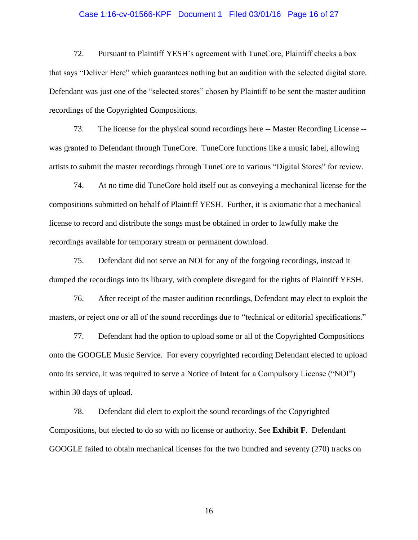## Case 1:16-cv-01566-KPF Document 1 Filed 03/01/16 Page 16 of 27

72. Pursuant to Plaintiff YESH's agreement with TuneCore, Plaintiff checks a box that says "Deliver Here" which guarantees nothing but an audition with the selected digital store. Defendant was just one of the "selected stores" chosen by Plaintiff to be sent the master audition recordings of the Copyrighted Compositions.

73. The license for the physical sound recordings here -- Master Recording License - was granted to Defendant through TuneCore. TuneCore functions like a music label, allowing artists to submit the master recordings through TuneCore to various "Digital Stores" for review.

74. At no time did TuneCore hold itself out as conveying a mechanical license for the compositions submitted on behalf of Plaintiff YESH. Further, it is axiomatic that a mechanical license to record and distribute the songs must be obtained in order to lawfully make the recordings available for temporary stream or permanent download.

75. Defendant did not serve an NOI for any of the forgoing recordings, instead it dumped the recordings into its library, with complete disregard for the rights of Plaintiff YESH.

76. After receipt of the master audition recordings, Defendant may elect to exploit the masters, or reject one or all of the sound recordings due to "technical or editorial specifications."

77. Defendant had the option to upload some or all of the Copyrighted Compositions onto the GOOGLE Music Service. For every copyrighted recording Defendant elected to upload onto its service, it was required to serve a Notice of Intent for a Compulsory License ("NOI") within 30 days of upload.

78. Defendant did elect to exploit the sound recordings of the Copyrighted Compositions, but elected to do so with no license or authority. See **Exhibit F**. Defendant GOOGLE failed to obtain mechanical licenses for the two hundred and seventy (270) tracks on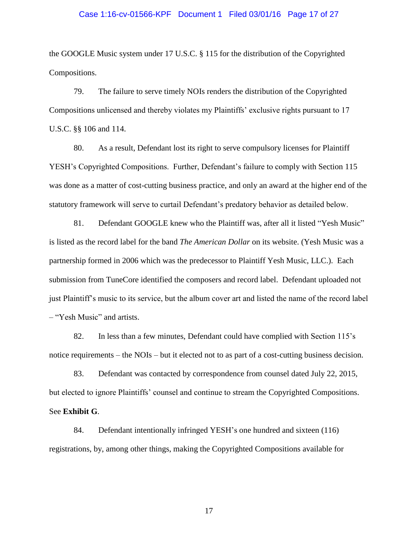# Case 1:16-cv-01566-KPF Document 1 Filed 03/01/16 Page 17 of 27

the GOOGLE Music system under 17 U.S.C. § 115 for the distribution of the Copyrighted Compositions.

79. The failure to serve timely NOIs renders the distribution of the Copyrighted Compositions unlicensed and thereby violates my Plaintiffs' exclusive rights pursuant to 17 U.S.C. §§ 106 and 114.

80. As a result, Defendant lost its right to serve compulsory licenses for Plaintiff YESH's Copyrighted Compositions. Further, Defendant's failure to comply with Section 115 was done as a matter of cost-cutting business practice, and only an award at the higher end of the statutory framework will serve to curtail Defendant's predatory behavior as detailed below.

81. Defendant GOOGLE knew who the Plaintiff was, after all it listed "Yesh Music" is listed as the record label for the band *The American Dollar* on its website. (Yesh Music was a partnership formed in 2006 which was the predecessor to Plaintiff Yesh Music, LLC.). Each submission from TuneCore identified the composers and record label. Defendant uploaded not just Plaintiff's music to its service, but the album cover art and listed the name of the record label – "Yesh Music" and artists.

82. In less than a few minutes, Defendant could have complied with Section 115's notice requirements – the NOIs – but it elected not to as part of a cost-cutting business decision.

83. Defendant was contacted by correspondence from counsel dated July 22, 2015, but elected to ignore Plaintiffs' counsel and continue to stream the Copyrighted Compositions. See **Exhibit G**.

84. Defendant intentionally infringed YESH's one hundred and sixteen (116) registrations, by, among other things, making the Copyrighted Compositions available for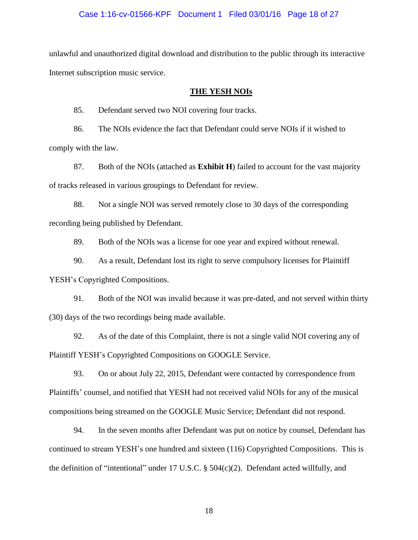## Case 1:16-cv-01566-KPF Document 1 Filed 03/01/16 Page 18 of 27

unlawful and unauthorized digital download and distribution to the public through its interactive Internet subscription music service.

#### **THE YESH NOIs**

85. Defendant served two NOI covering four tracks.

86. The NOIs evidence the fact that Defendant could serve NOIs if it wished to comply with the law.

87. Both of the NOIs (attached as **Exhibit H**) failed to account for the vast majority of tracks released in various groupings to Defendant for review.

88. Not a single NOI was served remotely close to 30 days of the corresponding recording being published by Defendant.

89. Both of the NOIs was a license for one year and expired without renewal.

90. As a result, Defendant lost its right to serve compulsory licenses for Plaintiff YESH's Copyrighted Compositions.

91. Both of the NOI was invalid because it was pre-dated, and not served within thirty (30) days of the two recordings being made available.

92. As of the date of this Complaint, there is not a single valid NOI covering any of Plaintiff YESH's Copyrighted Compositions on GOOGLE Service.

93. On or about July 22, 2015, Defendant were contacted by correspondence from Plaintiffs' counsel, and notified that YESH had not received valid NOIs for any of the musical compositions being streamed on the GOOGLE Music Service; Defendant did not respond.

94. In the seven months after Defendant was put on notice by counsel, Defendant has continued to stream YESH's one hundred and sixteen (116) Copyrighted Compositions. This is the definition of "intentional" under 17 U.S.C. § 504(c)(2). Defendant acted willfully, and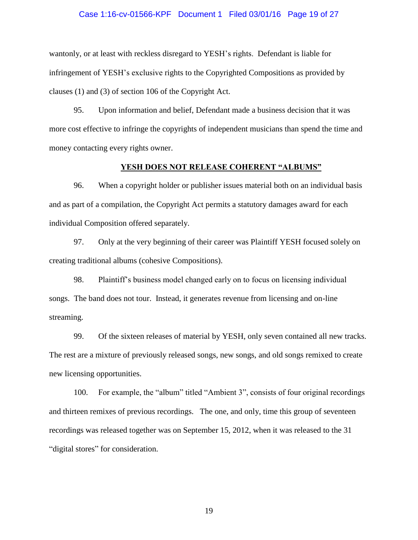## Case 1:16-cv-01566-KPF Document 1 Filed 03/01/16 Page 19 of 27

wantonly, or at least with reckless disregard to YESH's rights. Defendant is liable for infringement of YESH's exclusive rights to the Copyrighted Compositions as provided by clauses (1) and (3) of section 106 of the Copyright Act.

95. Upon information and belief, Defendant made a business decision that it was more cost effective to infringe the copyrights of independent musicians than spend the time and money contacting every rights owner.

## **YESH DOES NOT RELEASE COHERENT "ALBUMS"**

96. When a copyright holder or publisher issues material both on an individual basis and as part of a compilation, the Copyright Act permits a statutory damages award for each individual Composition offered separately.

97. Only at the very beginning of their career was Plaintiff YESH focused solely on creating traditional albums (cohesive Compositions).

98. Plaintiff's business model changed early on to focus on licensing individual songs. The band does not tour. Instead, it generates revenue from licensing and on-line streaming.

99. Of the sixteen releases of material by YESH, only seven contained all new tracks. The rest are a mixture of previously released songs, new songs, and old songs remixed to create new licensing opportunities.

100. For example, the "album" titled "Ambient 3", consists of four original recordings and thirteen remixes of previous recordings. The one, and only, time this group of seventeen recordings was released together was on September 15, 2012, when it was released to the 31 "digital stores" for consideration.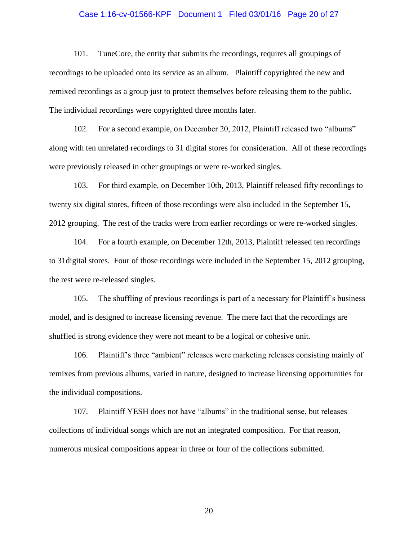## Case 1:16-cv-01566-KPF Document 1 Filed 03/01/16 Page 20 of 27

101. TuneCore, the entity that submits the recordings, requires all groupings of recordings to be uploaded onto its service as an album. Plaintiff copyrighted the new and remixed recordings as a group just to protect themselves before releasing them to the public. The individual recordings were copyrighted three months later.

102. For a second example, on December 20, 2012, Plaintiff released two "albums" along with ten unrelated recordings to 31 digital stores for consideration. All of these recordings were previously released in other groupings or were re-worked singles.

103. For third example, on December 10th, 2013, Plaintiff released fifty recordings to twenty six digital stores, fifteen of those recordings were also included in the September 15, 2012 grouping. The rest of the tracks were from earlier recordings or were re-worked singles.

104. For a fourth example, on December 12th, 2013, Plaintiff released ten recordings to 31digital stores. Four of those recordings were included in the September 15, 2012 grouping, the rest were re-released singles.

105. The shuffling of previous recordings is part of a necessary for Plaintiff's business model, and is designed to increase licensing revenue. The mere fact that the recordings are shuffled is strong evidence they were not meant to be a logical or cohesive unit.

106. Plaintiff's three "ambient" releases were marketing releases consisting mainly of remixes from previous albums, varied in nature, designed to increase licensing opportunities for the individual compositions.

107. Plaintiff YESH does not have "albums" in the traditional sense, but releases collections of individual songs which are not an integrated composition. For that reason, numerous musical compositions appear in three or four of the collections submitted.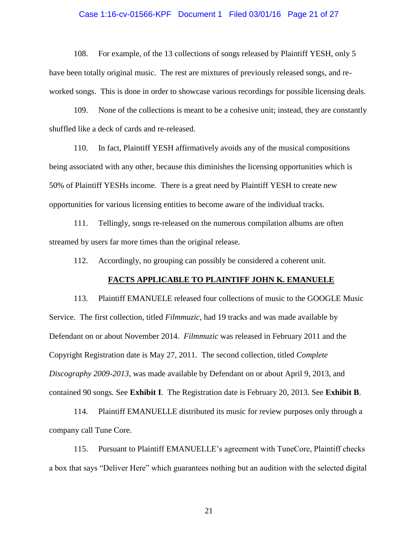# Case 1:16-cv-01566-KPF Document 1 Filed 03/01/16 Page 21 of 27

108. For example, of the 13 collections of songs released by Plaintiff YESH, only 5 have been totally original music. The rest are mixtures of previously released songs, and reworked songs. This is done in order to showcase various recordings for possible licensing deals.

109. None of the collections is meant to be a cohesive unit; instead, they are constantly shuffled like a deck of cards and re-released.

110. In fact, Plaintiff YESH affirmatively avoids any of the musical compositions being associated with any other, because this diminishes the licensing opportunities which is 50% of Plaintiff YESHs income. There is a great need by Plaintiff YESH to create new opportunities for various licensing entities to become aware of the individual tracks.

111. Tellingly, songs re-released on the numerous compilation albums are often streamed by users far more times than the original release.

112. Accordingly, no grouping can possibly be considered a coherent unit.

#### **FACTS APPLICABLE TO PLAINTIFF JOHN K. EMANUELE**

113. Plaintiff EMANUELE released four collections of music to the GOOGLE Music Service. The first collection, titled *Filmmuzic*, had 19 tracks and was made available by Defendant on or about November 2014. *Filmmuzic* was released in February 2011 and the Copyright Registration date is May 27, 2011. The second collection, titled *Complete Discography 2009-2013*, was made available by Defendant on or about April 9, 2013, and contained 90 songs. See **Exhibit I**. The Registration date is February 20, 2013. See **Exhibit B**.

114. Plaintiff EMANUELLE distributed its music for review purposes only through a company call Tune Core.

115. Pursuant to Plaintiff EMANUELLE's agreement with TuneCore, Plaintiff checks a box that says "Deliver Here" which guarantees nothing but an audition with the selected digital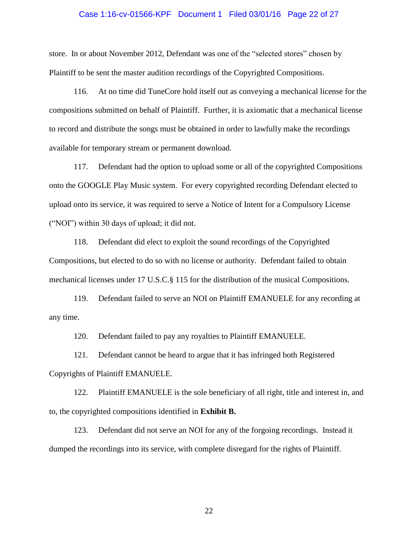## Case 1:16-cv-01566-KPF Document 1 Filed 03/01/16 Page 22 of 27

store. In or about November 2012, Defendant was one of the "selected stores" chosen by Plaintiff to be sent the master audition recordings of the Copyrighted Compositions.

116. At no time did TuneCore hold itself out as conveying a mechanical license for the compositions submitted on behalf of Plaintiff. Further, it is axiomatic that a mechanical license to record and distribute the songs must be obtained in order to lawfully make the recordings available for temporary stream or permanent download.

117. Defendant had the option to upload some or all of the copyrighted Compositions onto the GOOGLE Play Music system. For every copyrighted recording Defendant elected to upload onto its service, it was required to serve a Notice of Intent for a Compulsory License ("NOI") within 30 days of upload; it did not.

118. Defendant did elect to exploit the sound recordings of the Copyrighted Compositions, but elected to do so with no license or authority. Defendant failed to obtain mechanical licenses under 17 U.S.C.§ 115 for the distribution of the musical Compositions.

119. Defendant failed to serve an NOI on Plaintiff EMANUELE for any recording at any time.

120. Defendant failed to pay any royalties to Plaintiff EMANUELE.

121. Defendant cannot be heard to argue that it has infringed both Registered Copyrights of Plaintiff EMANUELE.

122. Plaintiff EMANUELE is the sole beneficiary of all right, title and interest in, and to, the copyrighted compositions identified in **Exhibit B.**

123. Defendant did not serve an NOI for any of the forgoing recordings. Instead it dumped the recordings into its service, with complete disregard for the rights of Plaintiff.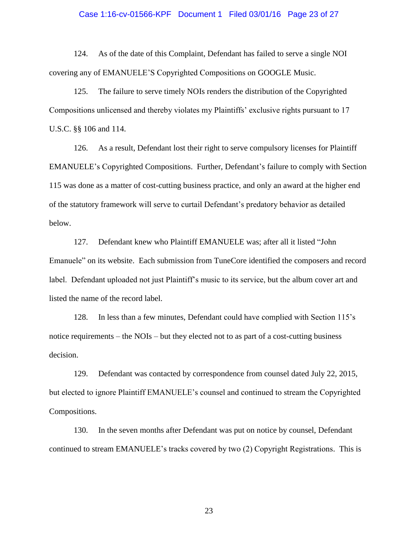## Case 1:16-cv-01566-KPF Document 1 Filed 03/01/16 Page 23 of 27

124. As of the date of this Complaint, Defendant has failed to serve a single NOI covering any of EMANUELE'S Copyrighted Compositions on GOOGLE Music.

125. The failure to serve timely NOIs renders the distribution of the Copyrighted Compositions unlicensed and thereby violates my Plaintiffs' exclusive rights pursuant to 17 U.S.C. §§ 106 and 114.

126. As a result, Defendant lost their right to serve compulsory licenses for Plaintiff EMANUELE's Copyrighted Compositions. Further, Defendant's failure to comply with Section 115 was done as a matter of cost-cutting business practice, and only an award at the higher end of the statutory framework will serve to curtail Defendant's predatory behavior as detailed below.

127. Defendant knew who Plaintiff EMANUELE was; after all it listed "John Emanuele" on its website. Each submission from TuneCore identified the composers and record label. Defendant uploaded not just Plaintiff's music to its service, but the album cover art and listed the name of the record label.

128. In less than a few minutes, Defendant could have complied with Section 115's notice requirements – the NOIs – but they elected not to as part of a cost-cutting business decision.

129. Defendant was contacted by correspondence from counsel dated July 22, 2015, but elected to ignore Plaintiff EMANUELE's counsel and continued to stream the Copyrighted Compositions.

130. In the seven months after Defendant was put on notice by counsel, Defendant continued to stream EMANUELE's tracks covered by two (2) Copyright Registrations. This is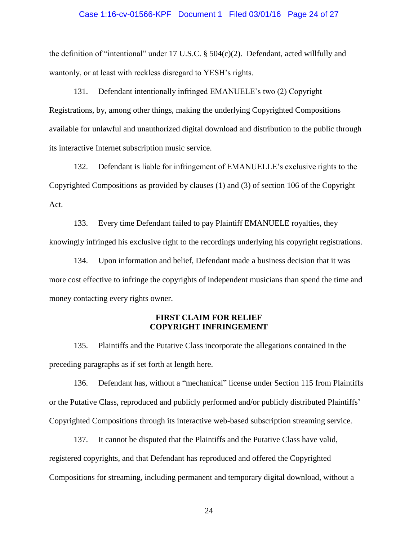## Case 1:16-cv-01566-KPF Document 1 Filed 03/01/16 Page 24 of 27

the definition of "intentional" under 17 U.S.C. § 504(c)(2). Defendant, acted willfully and wantonly, or at least with reckless disregard to YESH's rights.

131. Defendant intentionally infringed EMANUELE's two (2) Copyright Registrations, by, among other things, making the underlying Copyrighted Compositions available for unlawful and unauthorized digital download and distribution to the public through its interactive Internet subscription music service.

132. Defendant is liable for infringement of EMANUELLE's exclusive rights to the Copyrighted Compositions as provided by clauses (1) and (3) of section 106 of the Copyright Act.

133. Every time Defendant failed to pay Plaintiff EMANUELE royalties, they knowingly infringed his exclusive right to the recordings underlying his copyright registrations.

134. Upon information and belief, Defendant made a business decision that it was more cost effective to infringe the copyrights of independent musicians than spend the time and money contacting every rights owner.

## **FIRST CLAIM FOR RELIEF COPYRIGHT INFRINGEMENT**

135. Plaintiffs and the Putative Class incorporate the allegations contained in the preceding paragraphs as if set forth at length here.

136. Defendant has, without a "mechanical" license under Section 115 from Plaintiffs or the Putative Class, reproduced and publicly performed and/or publicly distributed Plaintiffs' Copyrighted Compositions through its interactive web-based subscription streaming service.

137. It cannot be disputed that the Plaintiffs and the Putative Class have valid, registered copyrights, and that Defendant has reproduced and offered the Copyrighted Compositions for streaming, including permanent and temporary digital download, without a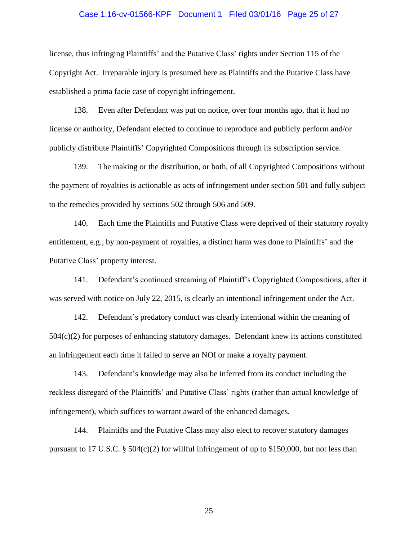## Case 1:16-cv-01566-KPF Document 1 Filed 03/01/16 Page 25 of 27

license, thus infringing Plaintiffs' and the Putative Class' rights under Section 115 of the Copyright Act. Irreparable injury is presumed here as Plaintiffs and the Putative Class have established a prima facie case of copyright infringement.

138. Even after Defendant was put on notice, over four months ago, that it had no license or authority, Defendant elected to continue to reproduce and publicly perform and/or publicly distribute Plaintiffs' Copyrighted Compositions through its subscription service.

139. The making or the distribution, or both, of all Copyrighted Compositions without the payment of royalties is actionable as acts of infringement under section 501 and fully subject to the remedies provided by sections 502 through 506 and 509.

140. Each time the Plaintiffs and Putative Class were deprived of their statutory royalty entitlement, e.g., by non-payment of royalties, a distinct harm was done to Plaintiffs' and the Putative Class' property interest.

141. Defendant's continued streaming of Plaintiff's Copyrighted Compositions, after it was served with notice on July 22, 2015, is clearly an intentional infringement under the Act.

142. Defendant's predatory conduct was clearly intentional within the meaning of 504(c)(2) for purposes of enhancing statutory damages. Defendant knew its actions constituted an infringement each time it failed to serve an NOI or make a royalty payment.

143. Defendant's knowledge may also be inferred from its conduct including the reckless disregard of the Plaintiffs' and Putative Class' rights (rather than actual knowledge of infringement), which suffices to warrant award of the enhanced damages.

144. Plaintiffs and the Putative Class may also elect to recover statutory damages pursuant to 17 U.S.C. § 504(c)(2) for willful infringement of up to \$150,000, but not less than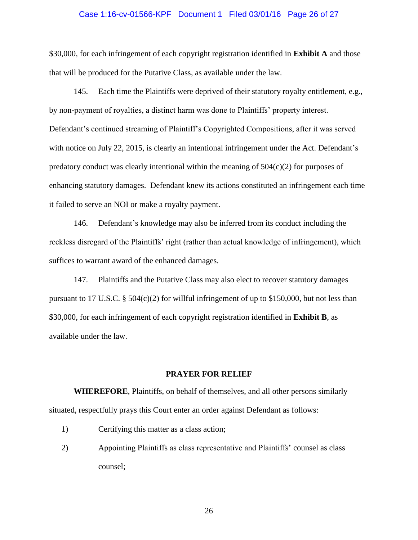# Case 1:16-cv-01566-KPF Document 1 Filed 03/01/16 Page 26 of 27

\$30,000, for each infringement of each copyright registration identified in **Exhibit A** and those that will be produced for the Putative Class, as available under the law.

145. Each time the Plaintiffs were deprived of their statutory royalty entitlement, e.g., by non-payment of royalties, a distinct harm was done to Plaintiffs' property interest. Defendant's continued streaming of Plaintiff's Copyrighted Compositions, after it was served with notice on July 22, 2015, is clearly an intentional infringement under the Act. Defendant's predatory conduct was clearly intentional within the meaning of  $504(c)(2)$  for purposes of enhancing statutory damages. Defendant knew its actions constituted an infringement each time it failed to serve an NOI or make a royalty payment.

146. Defendant's knowledge may also be inferred from its conduct including the reckless disregard of the Plaintiffs' right (rather than actual knowledge of infringement), which suffices to warrant award of the enhanced damages.

147. Plaintiffs and the Putative Class may also elect to recover statutory damages pursuant to 17 U.S.C.  $\S 504(c)(2)$  for willful infringement of up to \$150,000, but not less than \$30,000, for each infringement of each copyright registration identified in **Exhibit B**, as available under the law.

## **PRAYER FOR RELIEF**

**WHEREFORE**, Plaintiffs, on behalf of themselves, and all other persons similarly situated, respectfully prays this Court enter an order against Defendant as follows:

- 1) Certifying this matter as a class action;
- 2) Appointing Plaintiffs as class representative and Plaintiffs' counsel as class counsel;